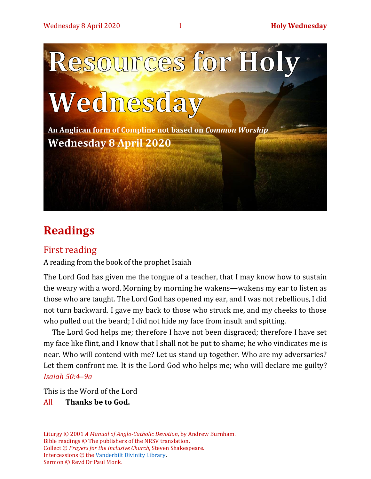

# **Readings**

## First reading

A reading from the book of the prophet Isaiah

The Lord God has given me the tongue of a teacher, that I may know how to sustain the weary with a word. Morning by morning he wakens—wakens my ear to listen as those who are taught. The Lord God has opened my ear, and I was not rebellious, I did not turn backward. I gave my back to those who struck me, and my cheeks to those who pulled out the beard; I did not hide my face from insult and spitting.

The Lord God helps me; therefore I have not been disgraced; therefore I have set my face like flint, and I know that I shall not be put to shame; he who vindicates me is near. Who will contend with me? Let us stand up together. Who are my adversaries? Let them confront me. It is the Lord God who helps me; who will declare me guilty? *Isaiah 50:4–9a*

This is the Word of the Lord

#### All **Thanks be to God.**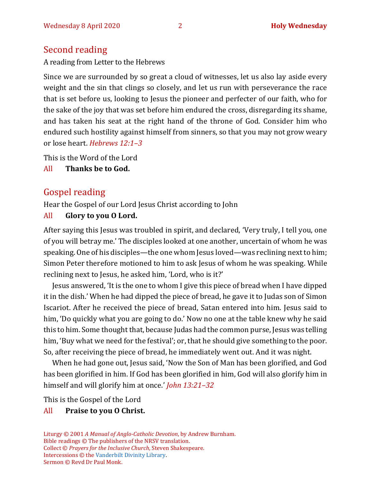### Second reading

A reading from Letter to the Hebrews

Since we are surrounded by so great a cloud of witnesses, let us also lay aside every weight and the sin that clings so closely, and let us run with perseverance the race that is set before us, looking to Jesus the pioneer and perfecter of our faith, who for the sake of the joy that was set before him endured the cross, disregarding its shame, and has taken his seat at the right hand of the throne of God. Consider him who endured such hostility against himself from sinners, so that you may not grow weary or lose heart. *Hebrews 12:1–3*

This is the Word of the Lord

All **Thanks be to God.**

#### Gospel reading

Hear the Gospel of our Lord Jesus Christ according to John

#### All **Glory to you O Lord.**

After saying this Jesus was troubled in spirit, and declared, 'Very truly, I tell you, one of you will betray me.' The disciples looked at one another, uncertain of whom he was speaking. One of his disciples—the one whom Jesus loved—was reclining next to him; Simon Peter therefore motioned to him to ask Jesus of whom he was speaking. While reclining next to Jesus, he asked him, 'Lord, who is it?'

Jesus answered, 'It is the one to whom I give this piece of bread when I have dipped it in the dish.' When he had dipped the piece of bread, he gave it to Judas son of Simon Iscariot. After he received the piece of bread, Satan entered into him. Jesus said to him, 'Do quickly what you are going to do.' Now no one at the table knew why he said this to him. Some thought that, because Judas had the common purse, Jesus was telling him, 'Buy what we need for the festival'; or, that he should give something to the poor. So, after receiving the piece of bread, he immediately went out. And it was night.

When he had gone out, Jesus said, 'Now the Son of Man has been glorified, and God has been glorified in him. If God has been glorified in him, God will also glorify him in himself and will glorify him at once.' *John 13:21–32*

This is the Gospel of the Lord

#### All **Praise to you O Christ.**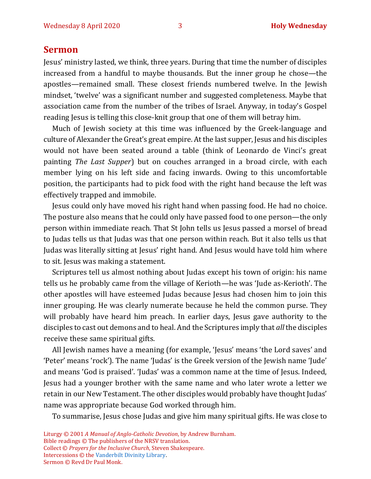#### **Sermon**

Jesus' ministry lasted, we think, three years. During that time the number of disciples increased from a handful to maybe thousands. But the inner group he chose—the apostles—remained small. These closest friends numbered twelve. In the Jewish mindset, 'twelve' was a significant number and suggested completeness. Maybe that association came from the number of the tribes of Israel. Anyway, in today's Gospel reading Jesus is telling this close-knit group that one of them will betray him.

Much of Jewish society at this time was influenced by the Greek-language and culture of Alexander the Great's great empire. At the last supper, Jesus and his disciples would not have been seated around a table (think of Leonardo de Vinci's great painting *The Last Supper*) but on couches arranged in a broad circle, with each member lying on his left side and facing inwards. Owing to this uncomfortable position, the participants had to pick food with the right hand because the left was effectively trapped and immobile.

Jesus could only have moved his right hand when passing food. He had no choice. The posture also means that he could only have passed food to one person—the only person within immediate reach. That St John tells us Jesus passed a morsel of bread to Judas tells us that Judas was that one person within reach. But it also tells us that Judas was literally sitting at Jesus' right hand. And Jesus would have told him where to sit. Jesus was making a statement.

Scriptures tell us almost nothing about Judas except his town of origin: his name tells us he probably came from the village of Kerioth—he was 'Jude as-Kerioth'. The other apostles will have esteemed Judas because Jesus had chosen him to join this inner grouping. He was clearly numerate because he held the common purse. They will probably have heard him preach. In earlier days, Jesus gave authority to the disciples to cast out demons and to heal. And the Scriptures imply that *all*the disciples receive these same spiritual gifts.

All Jewish names have a meaning (for example, 'Jesus' means 'the Lord saves' and 'Peter' means 'rock'). The name 'Judas' is the Greek version of the Jewish name 'Jude' and means 'God is praised'. 'Judas' was a common name at the time of Jesus. Indeed, Jesus had a younger brother with the same name and who later wrote a letter we retain in our New Testament. The other disciples would probably have thought Judas' name was appropriate because God worked through him.

To summarise, Jesus chose Judas and give him many spiritual gifts. He was close to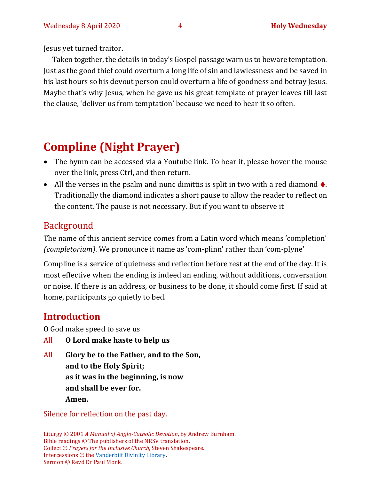Jesus yet turned traitor.

Taken together, the details in today's Gospel passage warn us to beware temptation. Just as the good thief could overturn a long life of sin and lawlessness and be saved in his last hours so his devout person could overturn a life of goodness and betray Jesus. Maybe that's why Jesus, when he gave us his great template of prayer leaves till last the clause, 'deliver us from temptation' because we need to hear it so often.

# **Compline (Night Prayer)**

- The hymn can be accessed via a Youtube link. To hear it, please hover the mouse over the link, press Ctrl, and then return.
- All the verses in the psalm and nunc dimittis is split in two with a red diamond  $\blacklozenge$ . Traditionally the diamond indicates a short pause to allow the reader to reflect on the content. The pause is not necessary. But if you want to observe it

## **Background**

The name of this ancient service comes from a Latin word which means 'completion' *(completorium)*. We pronounce it name as 'com-plinn' rather than 'com-plyne'

Compline is a service of quietness and reflection before rest at the end of the day. It is most effective when the ending is indeed an ending, without additions, conversation or noise. If there is an address, or business to be done, it should come first. If said at home, participants go quietly to bed.

## **Introduction**

O God make speed to save us

- All **O Lord make haste to help us**
- All **Glory be to the Father, and to the Son, and to the Holy Spirit; as it was in the beginning, is now and shall be ever for. Amen.**

Silence for reflection on the past day.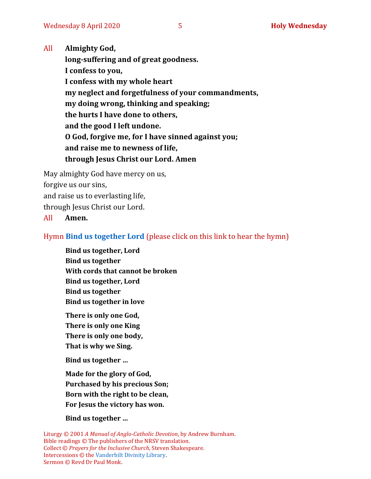All **Almighty God,**

**long-suffering and of great goodness. I confess to you, I confess with my whole heart my neglect and forgetfulness of your commandments, my doing wrong, thinking and speaking; the hurts I have done to others, and the good I left undone. O God, forgive me, for I have sinned against you; and raise me to newness of life, through Jesus Christ our Lord. Amen**

May almighty God have mercy on us,

forgive us our sins,

and raise us to everlasting life,

through Jesus Christ our Lord.

All **Amen.**

Hymn **[Bind us together Lord](https://www.youtube.com/watch?v=wRwfTS_Ne0o)** (please click on this link to hear the hymn)

**Bind us together, Lord Bind us together With cords that cannot be broken Bind us together, Lord Bind us together Bind us together in love**

**There is only one God, There is only one King There is only one body, That is why we Sing.**

**Bind us together …**

**Made for the glory of God, Purchased by his precious Son; Born with the right to be clean, For Jesus the victory has won.**

**Bind us together …**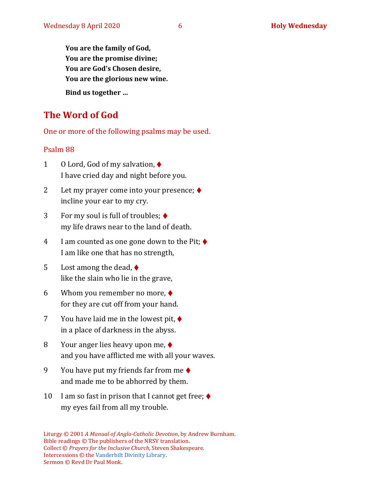**You are the family of God, You are the promise divine; You are God's Chosen desire, You are the glorious new wine. Bind us together …**

## **The Word of God**

One or more of the following psalms may be used.

#### Psalm 88

- 1 O Lord, God of my salvation, ♦ I have cried day and night before you.
- 2 Let my prayer come into your presence; ♦ incline your ear to my cry.
- 3 For my soul is full of troubles;  $\blacklozenge$ my life draws near to the land of death.
- 4 I am counted as one gone down to the Pit;  $\blacklozenge$ I am like one that has no strength,
- 5 Lost among the dead,  $\blacklozenge$ like the slain who lie in the grave,
- 6 Whom you remember no more,  $\blacklozenge$ for they are cut off from your hand.
- 7 You have laid me in the lowest pit, ♦ in a place of darkness in the abyss.
- 8 Your anger lies heavy upon me, ♦ and you have afflicted me with all your waves.
- 9 You have put my friends far from me  $\blacklozenge$ and made me to be abhorred by them.
- 10 I am so fast in prison that I cannot get free;  $\triangleleft$ my eyes fail from all my trouble.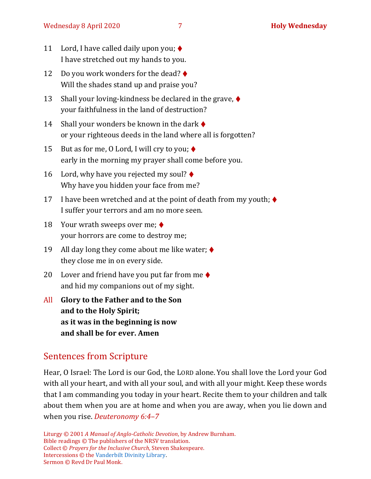- 11 Lord, I have called daily upon you;  $\blacklozenge$ I have stretched out my hands to you.
- 12 Do you work wonders for the dead? ♦ Will the shades stand up and praise you?
- 13 Shall your loving-kindness be declared in the grave,  $\blacklozenge$ your faithfulness in the land of destruction?
- 14 Shall your wonders be known in the dark  $\blacklozenge$ or your righteous deeds in the land where all is forgotten?
- 15 But as for me, 0 Lord, I will cry to you;  $\blacklozenge$ early in the morning my prayer shall come before you.
- 16 Lord, why have you rejected my soul? ♦ Why have you hidden your face from me?
- 17 I have been wretched and at the point of death from my youth;  $\blacklozenge$ I suffer your terrors and am no more seen.
- 18 Your wrath sweeps over me;  $\blacklozenge$ your horrors are come to destroy me;
- 19 All day long they come about me like water;  $\triangleleft$ they close me in on every side.
- 20 Lover and friend have you put far from me  $\blacklozenge$ and hid my companions out of my sight.
- All **Glory to the Father and to the Son and to the Holy Spirit; as it was in the beginning is now and shall be for ever. Amen**

## Sentences from Scripture

Hear, O Israel: The Lord is our God, the LORD alone. You shall love the Lord your God with all your heart, and with all your soul, and with all your might. Keep these words that I am commanding you today in your heart. Recite them to your children and talk about them when you are at home and when you are away, when you lie down and when you rise. *Deuteronomy 6:4–7*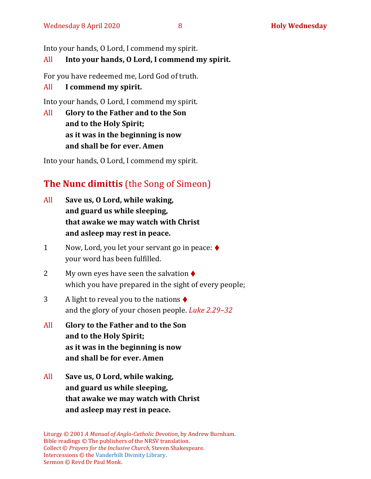Into your hands, O Lord, I commend my spirit.

All **Into your hands, O Lord, I commend my spirit.**

For you have redeemed me, Lord God of truth.

All **I commend my spirit.**

Into your hands, O Lord, I commend my spirit.

All **Glory to the Father and to the Son and to the Holy Spirit; as it was in the beginning is now and shall be for ever. Amen**

Into your hands, O Lord, I commend my spirit.

# **The Nunc dimittis** (the Song of Simeon)

- All **Save us, O Lord, while waking, and guard us while sleeping, that awake we may watch with Christ and asleep may rest in peace.**
- 1 Now, Lord, you let your servant go in peace: ♦ your word has been fulfilled.
- 2 My own eyes have seen the salvation  $\triangle$ which you have prepared in the sight of every people;
- 3 A light to reveal you to the nations  $\blacklozenge$ and the glory of your chosen people. *Luke 2.29–32*
- All **Glory to the Father and to the Son and to the Holy Spirit; as it was in the beginning is now and shall be for ever. Amen**
- All **Save us, O Lord, while waking, and guard us while sleeping, that awake we may watch with Christ and asleep may rest in peace.**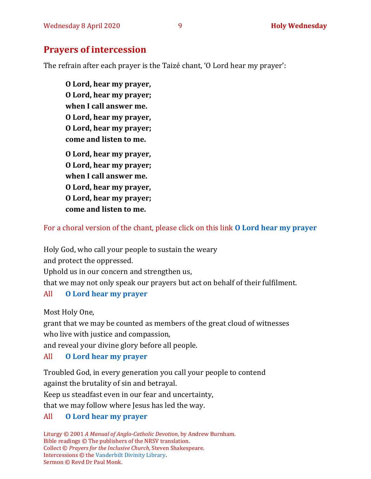## **Prayers of intercession**

The refrain after each prayer is the Taizé chant, 'O Lord hear my prayer':

**O Lord, hear my prayer, O Lord, hear my prayer; when I call answer me. O Lord, hear my prayer, O Lord, hear my prayer; come and listen to me.**

**O Lord, hear my prayer, O Lord, hear my prayer; when I call answer me. O Lord, hear my prayer, O Lord, hear my prayer; come and listen to me.**

For a choral version of the chant, please click on this link **[O Lord hear my prayer](https://www.youtube.com/watch?v=f51n-yb11dY)**

Holy God, who call your people to sustain the weary

and protect the oppressed.

Uphold us in our concern and strengthen us,

that we may not only speak our prayers but act on behalf of their fulfilment.

#### All **[O Lord hear my prayer](https://www.youtube.com/watch?v=f51n-yb11dY)**

Most Holy One,

grant that we may be counted as members of the great cloud of witnesses who live with justice and compassion,

and reveal your divine glory before all people.

#### All **[O Lord hear my prayer](https://www.youtube.com/watch?v=f51n-yb11dY)**

Troubled God, in every generation you call your people to contend against the brutality of sin and betrayal.

Keep us steadfast even in our fear and uncertainty,

that we may follow where Jesus has led the way.

#### All **[O Lord hear my prayer](https://www.youtube.com/watch?v=f51n-yb11dY)**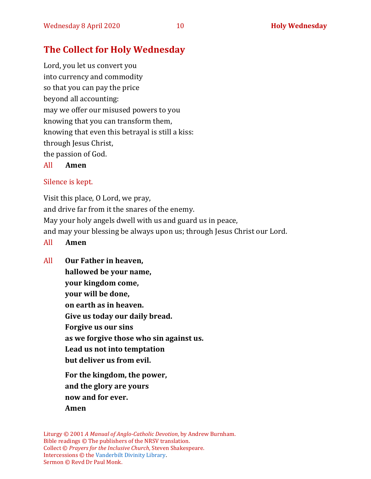# **The Collect for Holy Wednesday**

Lord, you let us convert you into currency and commodity so that you can pay the price beyond all accounting: may we offer our misused powers to you knowing that you can transform them, knowing that even this betrayal is still a kiss: through Jesus Christ, the passion of God.

All **Amen**

#### Silence is kept.

Visit this place, O Lord, we pray, and drive far from it the snares of the enemy. May your holy angels dwell with us and guard us in peace, and may your blessing be always upon us; through Jesus Christ our Lord.

- All **Amen**
- All **Our Father in heaven, hallowed be your name, your kingdom come, your will be done, on earth as in heaven. Give us today our daily bread. Forgive us our sins as we forgive those who sin against us. Lead us not into temptation but deliver us from evil. For the kingdom, the power, and the glory are yours now and for ever. Amen**